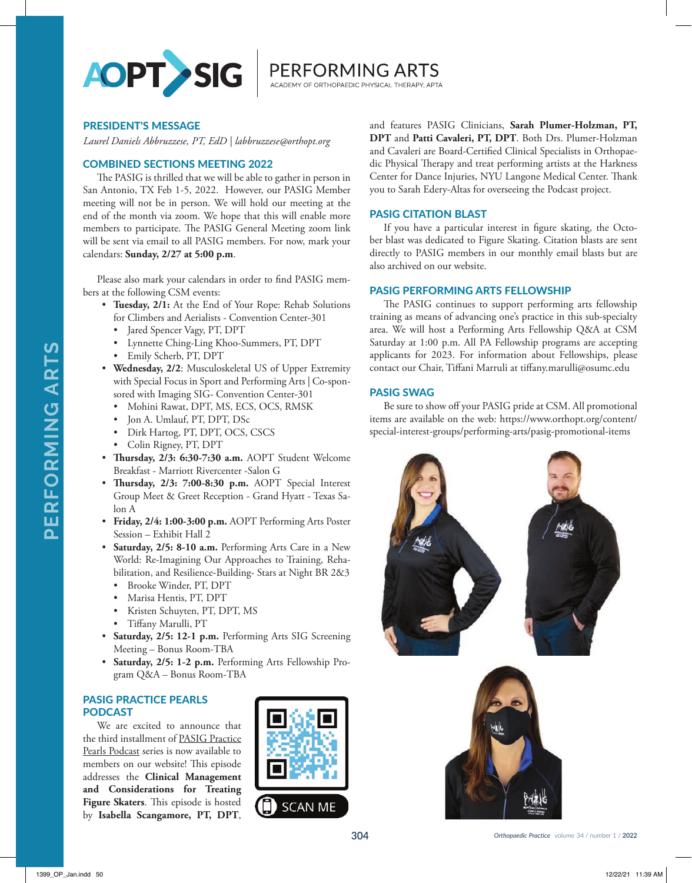

PERFORMING ARTS

## PRESIDENT'S MESSAGE

*Laurel Daniels Abbruzzese, PT, EdD | labbruzzese@orthopt.org*

## COMBINED SECTIONS MEETING 2022

The PASIG is thrilled that we will be able to gather in person in San Antonio, TX Feb 1-5, 2022. However, our PASIG Member meeting will not be in person. We will hold our meeting at the end of the month via zoom. We hope that this will enable more members to participate. The PASIG General Meeting zoom link will be sent via email to all PASIG members. For now, mark your calendars: **Sunday, 2/27 at 5:00 p.m**.

Please also mark your calendars in order to find PASIG members at the following CSM events:

- **Tuesday, 2/1:** At the End of Your Rope: Rehab Solutions for Climbers and Aerialists - Convention Center-301
	- Jared Spencer Vagy, PT, DPT
	- Lynnette Ching-Ling Khoo-Summers, PT, DPT
	- Emily Scherb, PT, DPT
- **Wednesday, 2/2**: Musculoskeletal US of Upper Extremity with Special Focus in Sport and Performing Arts | Co-sponsored with Imaging SIG- Convention Center-301
	- Mohini Rawat, DPT, MS, ECS, OCS, RMSK
	- Jon A. Umlauf, PT, DPT, DSc
	- Dirk Hartog, PT, DPT, OCS, CSCS
	- Colin Rigney, PT, DPT
- **Thursday, 2/3: 6:30-7:30 a.m.** AOPT Student Welcome Breakfast - Marriott Rivercenter -Salon G
- **Thursday, 2/3: 7:00-8:30 p.m.** AOPT Special Interest Group Meet & Greet Reception - Grand Hyatt - Texas Salon A
- **Friday, 2/4: 1:00-3:00 p.m.** AOPT Performing Arts Poster Session – Exhibit Hall 2
- **Saturday, 2/5: 8-10 a.m.** Performing Arts Care in a New World: Re-Imagining Our Approaches to Training, Rehabilitation, and Resilience-Building- Stars at Night BR 2&3
	- Brooke Winder, PT, DPT
	- Marisa Hentis, PT, DPT
	- Kristen Schuyten, PT, DPT, MS
	- Tiffany Marulli, PT
- **Saturday, 2/5: 12-1 p.m.** Performing Arts SIG Screening Meeting – Bonus Room-TBA
- **Saturday, 2/5: 1-2 p.m.** Performing Arts Fellowship Program Q&A – Bonus Room-TBA

## PASIG PRACTICE PEARLS PODCAST

We are excited to announce that the third installment of PASIG Practice Pearls Podcast series is now available to members on our website! This episode addresses the **Clinical Management and Considerations for Treating Figure Skaters**. This episode is hosted by **Isabella Scangamore, PT, DPT**,



and features PASIG Clinicians, **Sarah Plumer-Holzman, PT, DPT** and **Patti Cavaleri, PT, DPT**. Both Drs. Plumer-Holzman and Cavaleri are Board-Certified Clinical Specialists in Orthopaedic Physical Therapy and treat performing artists at the Harkness Center for Dance Injuries, NYU Langone Medical Center. Thank you to Sarah Edery-Altas for overseeing the Podcast project.

#### PASIG CITATION BLAST

If you have a particular interest in figure skating, the October blast was dedicated to Figure Skating. Citation blasts are sent directly to PASIG members in our monthly email blasts but are also archived on our website.

#### PASIG PERFORMING ARTS FELLOWSHIP

The PASIG continues to support performing arts fellowship training as means of advancing one's practice in this sub-specialty area. We will host a Performing Arts Fellowship Q&A at CSM Saturday at 1:00 p.m. All PA Fellowship programs are accepting applicants for 2023. For information about Fellowships, please contact our Chair, Tiffani Marruli at tiffany.marulli@osumc.edu

## PASIG SWAG

Be sure to show off your PASIG pride at CSM. All promotional items are available on the web: https://www.orthopt.org/content/ special-interest-groups/performing-arts/pasig-promotional-items